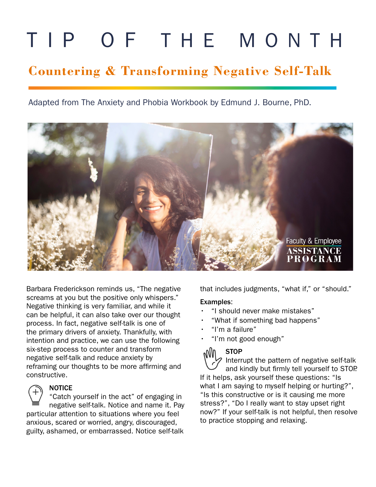# TIP OF THE MONTH

# **Countering & Transforming Negative Self-Talk**

Adapted from The Anxiety and Phobia Workbook by Edmund J. Bourne, PhD.



Barbara Frederickson reminds us, "The negative screams at you but the positive only whispers." Negative thinking is very familiar, and while it can be helpful, it can also take over our thought process. In fact, negative self-talk is one of the primary drivers of anxiety. Thankfully, with intention and practice, we can use the following six-step process to counter and transform negative self-talk and reduce anxiety by reframing our thoughts to be more affirming and constructive.



#### NOTICE

"Catch yourself in the act" of engaging in negative self-talk. Notice and name it. Pay particular attention to situations where you feel anxious, scared or worried, angry, discouraged, guilty, ashamed, or embarrassed. Notice self-talk

that includes judgments, "what if," or "should."

#### Examples:

- "I should never make mistakes"
- "What if something bad happens"
- "I'm a failure"
- "I'm not good enough"

### **STOP**

Interrupt the pattern of negative self-talk and kindly but firmly tell yourself to STOP. If it helps, ask yourself these questions: "Is what I am saying to myself helping or hurting?", "Is this constructive or is it causing me more stress?", "Do I really want to stay upset right now?" If your self-talk is not helpful, then resolve to practice stopping and relaxing.